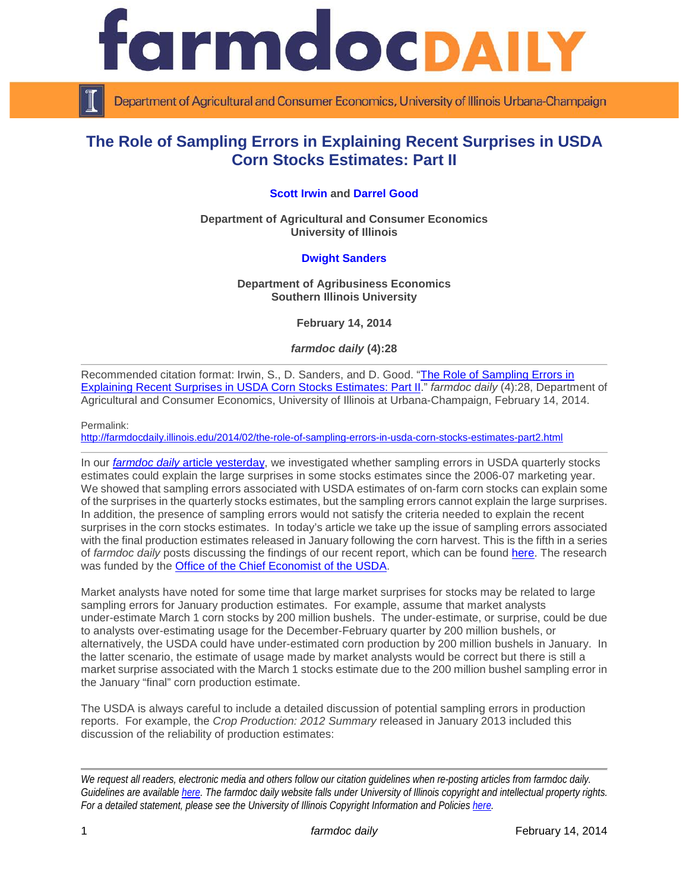

Department of Agricultural and Consumer Economics, University of Illinois Urbana-Champaign

# **The Role of Sampling Errors in Explaining Recent Surprises in USDA Corn Stocks Estimates: Part II**

### **[Scott Irwin](http://farmdoc.illinois.edu/irwin/) and [Darrel Good](http://farmdoc.illinois.edu/good/)**

**Department of Agricultural and Consumer Economics University of Illinois**

#### **[Dwight Sanders](http://coas.siu.edu/people/faculty/agribusiness-economics/sanders.html)**

#### **Department of Agribusiness Economics Southern Illinois University**

**February 14, 2014**

*farmdoc daily* **(4):28**

Recommended citation format: Irwin, S., D. Sanders, and D. Good. "The Role of Sampling Errors in [Explaining Recent Surprises in USDA Corn Stocks Estimates: Part II.](http://farmdocdaily.illinois.edu/2014/02/the-role-of-sampling-errors-in-usda-corn-stocks-estimates-part2.html)" *farmdoc daily* (4):28, Department of Agricultural and Consumer Economics, University of Illinois at Urbana-Champaign, February 14, 2014.

Permalink:

<http://farmdocdaily.illinois.edu/2014/02/the-role-of-sampling-errors-in-usda-corn-stocks-estimates-part2.html>

In our *farmdoc daily* [article yesterday,](http://farmdocdaily.illinois.edu/2014/02/the-role-of-sampling-errors-in-usda-corn-stocks-estimates-part1.html) we investigated whether sampling errors in USDA quarterly stocks estimates could explain the large surprises in some stocks estimates since the 2006-07 marketing year. We showed that sampling errors associated with USDA estimates of on-farm corn stocks can explain some of the surprises in the quarterly stocks estimates, but the sampling errors cannot explain the large surprises. In addition, the presence of sampling errors would not satisfy the criteria needed to explain the recent surprises in the corn stocks estimates. In today's article we take up the issue of sampling errors associated with the final production estimates released in January following the corn harvest. This is the fifth in a series of *farmdoc daily* posts discussing the findings of our recent report, which can be found [here.](http://farmdoc.illinois.edu/marketing/morr/morr_14-01/MORR_14-01.pdf) The research was funded by the [Office of the Chief Economist of the USDA.](http://www.usda.gov/oce/)

Market analysts have noted for some time that large market surprises for stocks may be related to large sampling errors for January production estimates. For example, assume that market analysts under-estimate March 1 corn stocks by 200 million bushels. The under-estimate, or surprise, could be due to analysts over-estimating usage for the December-February quarter by 200 million bushels, or alternatively, the USDA could have under-estimated corn production by 200 million bushels in January. In the latter scenario, the estimate of usage made by market analysts would be correct but there is still a market surprise associated with the March 1 stocks estimate due to the 200 million bushel sampling error in the January "final" corn production estimate.

The USDA is always careful to include a detailed discussion of potential sampling errors in production reports. For example, the *Crop Production: 2012 Summary* released in January 2013 included this discussion of the reliability of production estimates:

*We request all readers, electronic media and others follow our citation guidelines when re-posting articles from farmdoc daily. Guidelines are available [here.](http://farmdocdaily.illinois.edu/citationguide.html) The farmdoc daily website falls under University of Illinois copyright and intellectual property rights. For a detailed statement, please see the University of Illinois Copyright Information and Policies [here.](http://www.cio.illinois.edu/policies/copyright/)*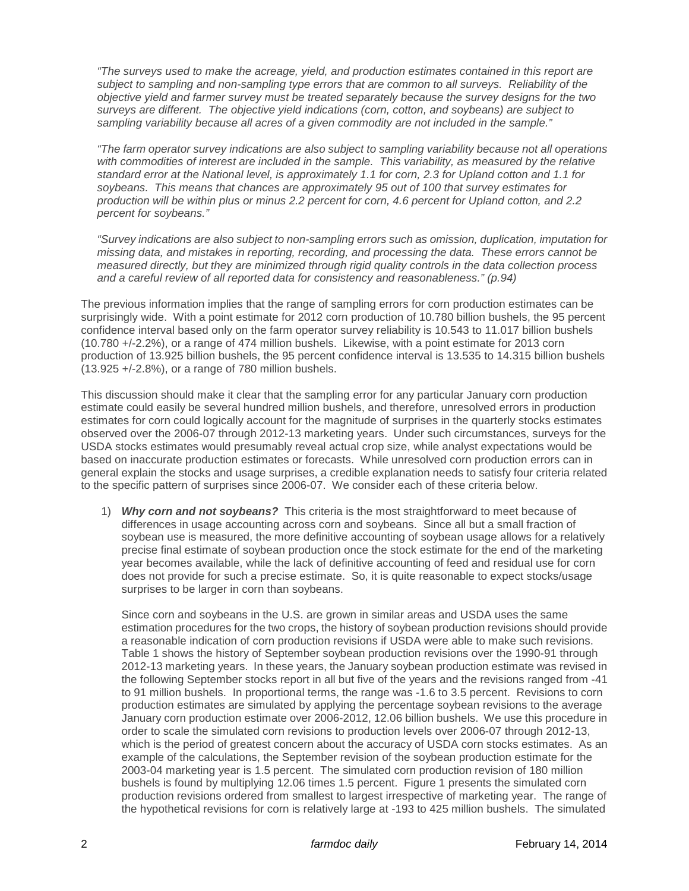*"The surveys used to make the acreage, yield, and production estimates contained in this report are subject to sampling and non-sampling type errors that are common to all surveys. Reliability of the objective yield and farmer survey must be treated separately because the survey designs for the two surveys are different. The objective yield indications (corn, cotton, and soybeans) are subject to sampling variability because all acres of a given commodity are not included in the sample."*

*"The farm operator survey indications are also subject to sampling variability because not all operations*  with commodities of interest are included in the sample. This variability, as measured by the relative *standard error at the National level, is approximately 1.1 for corn, 2.3 for Upland cotton and 1.1 for soybeans. This means that chances are approximately 95 out of 100 that survey estimates for production will be within plus or minus 2.2 percent for corn, 4.6 percent for Upland cotton, and 2.2 percent for soybeans."* 

*"Survey indications are also subject to non-sampling errors such as omission, duplication, imputation for missing data, and mistakes in reporting, recording, and processing the data. These errors cannot be measured directly, but they are minimized through rigid quality controls in the data collection process and a careful review of all reported data for consistency and reasonableness." (p.94)*

The previous information implies that the range of sampling errors for corn production estimates can be surprisingly wide. With a point estimate for 2012 corn production of 10.780 billion bushels, the 95 percent confidence interval based only on the farm operator survey reliability is 10.543 to 11.017 billion bushels (10.780 +/-2.2%), or a range of 474 million bushels. Likewise, with a point estimate for 2013 corn production of 13.925 billion bushels, the 95 percent confidence interval is 13.535 to 14.315 billion bushels (13.925 +/-2.8%), or a range of 780 million bushels.

This discussion should make it clear that the sampling error for any particular January corn production estimate could easily be several hundred million bushels, and therefore, unresolved errors in production estimates for corn could logically account for the magnitude of surprises in the quarterly stocks estimates observed over the 2006-07 through 2012-13 marketing years. Under such circumstances, surveys for the USDA stocks estimates would presumably reveal actual crop size, while analyst expectations would be based on inaccurate production estimates or forecasts. While unresolved corn production errors can in general explain the stocks and usage surprises, a credible explanation needs to satisfy four criteria related to the specific pattern of surprises since 2006-07. We consider each of these criteria below.

1) *Why corn and not soybeans?* This criteria is the most straightforward to meet because of differences in usage accounting across corn and soybeans. Since all but a small fraction of soybean use is measured, the more definitive accounting of soybean usage allows for a relatively precise final estimate of soybean production once the stock estimate for the end of the marketing year becomes available, while the lack of definitive accounting of feed and residual use for corn does not provide for such a precise estimate. So, it is quite reasonable to expect stocks/usage surprises to be larger in corn than soybeans.

Since corn and soybeans in the U.S. are grown in similar areas and USDA uses the same estimation procedures for the two crops, the history of soybean production revisions should provide a reasonable indication of corn production revisions if USDA were able to make such revisions. Table 1 shows the history of September soybean production revisions over the 1990-91 through 2012-13 marketing years. In these years, the January soybean production estimate was revised in the following September stocks report in all but five of the years and the revisions ranged from -41 to 91 million bushels. In proportional terms, the range was -1.6 to 3.5 percent. Revisions to corn production estimates are simulated by applying the percentage soybean revisions to the average January corn production estimate over 2006-2012, 12.06 billion bushels. We use this procedure in order to scale the simulated corn revisions to production levels over 2006-07 through 2012-13, which is the period of greatest concern about the accuracy of USDA corn stocks estimates. As an example of the calculations, the September revision of the soybean production estimate for the 2003-04 marketing year is 1.5 percent. The simulated corn production revision of 180 million bushels is found by multiplying 12.06 times 1.5 percent. Figure 1 presents the simulated corn production revisions ordered from smallest to largest irrespective of marketing year. The range of the hypothetical revisions for corn is relatively large at -193 to 425 million bushels. The simulated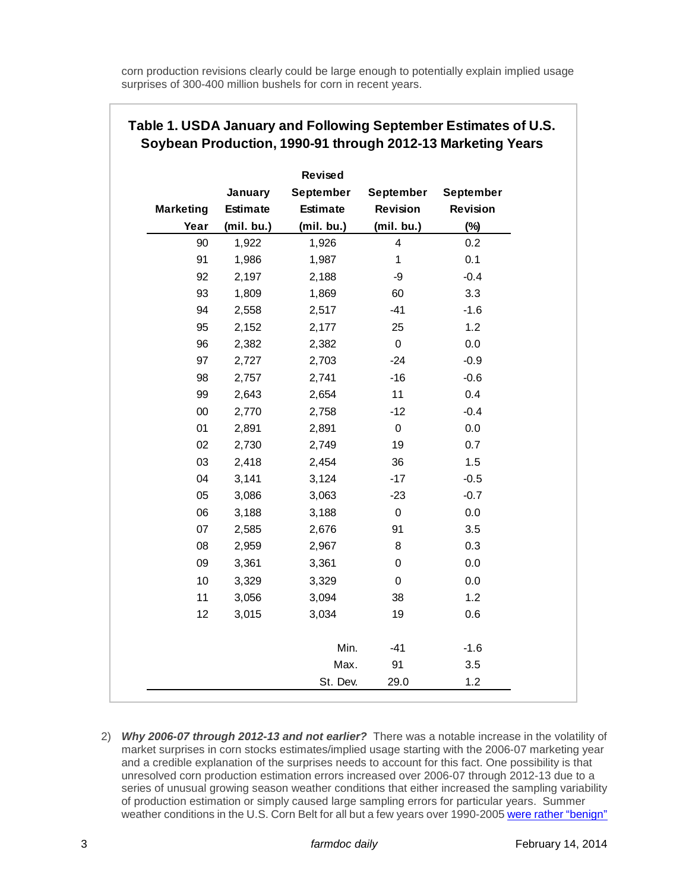corn production revisions clearly could be large enough to potentially explain implied usage surprises of 300-400 million bushels for corn in recent years.

|                  |                 | Revised         |                         |                 |
|------------------|-----------------|-----------------|-------------------------|-----------------|
|                  | January         | September       | September               | September       |
| <b>Marketing</b> | <b>Estimate</b> | <b>Estimate</b> | Revision                | <b>Revision</b> |
| Year             | (mil. bu.)      | (mil. bu.)      | (mil. bu.)              | $(\%)$          |
| 90               | 1,922           | 1,926           | $\overline{\mathbf{4}}$ | 0.2             |
| 91               | 1,986           | 1,987           | $\mathbf 1$             | 0.1             |
| 92               | 2,197           | 2,188           | -9                      | $-0.4$          |
| 93               | 1,809           | 1,869           | 60                      | 3.3             |
| 94               | 2,558           | 2,517           | $-41$                   | $-1.6$          |
| 95               | 2,152           | 2,177           | 25                      | 1.2             |
| 96               | 2,382           | 2,382           | $\mathbf 0$             | 0.0             |
| 97               | 2,727           | 2,703           | $-24$                   | $-0.9$          |
| 98               | 2,757           | 2,741           | $-16$                   | $-0.6$          |
| 99               | 2,643           | 2,654           | 11                      | 0.4             |
| $00\,$           | 2,770           | 2,758           | $-12$                   | $-0.4$          |
| 01               | 2,891           | 2,891           | $\mathsf 0$             | 0.0             |
| 02               | 2,730           | 2,749           | 19                      | 0.7             |
| 03               | 2,418           | 2,454           | 36                      | 1.5             |
| 04               | 3,141           | 3,124           | $-17$                   | $-0.5$          |
| 05               | 3,086           | 3,063           | $-23$                   | $-0.7$          |
| 06               | 3,188           | 3,188           | $\mathsf 0$             | 0.0             |
| 07               | 2,585           | 2,676           | 91                      | 3.5             |
| 08               | 2,959           | 2,967           | 8                       | 0.3             |
| 09               | 3,361           | 3,361           | $\pmb{0}$               | 0.0             |
| 10               | 3,329           | 3,329           | 0                       | 0.0             |
| 11               | 3,056           | 3,094           | 38                      | 1.2             |
| 12               | 3,015           | 3,034           | 19                      | 0.6             |
|                  |                 | Min.            | $-41$                   | $-1.6$          |
|                  |                 | Max.            | 91                      | 3.5             |
|                  |                 | St. Dev.        | 29.0                    | 1.2             |

## **Table 1. USDA January and Following September Estimates of U.S. Soybean Production, 1990-91 through 2012-13 Marketing Years**

2) *Why 2006-07 through 2012-13 and not earlier?* There was a notable increase in the volatility of market surprises in corn stocks estimates/implied usage starting with the 2006-07 marketing year and a credible explanation of the surprises needs to account for this fact. One possibility is that unresolved corn production estimation errors increased over 2006-07 through 2012-13 due to a series of unusual growing season weather conditions that either increased the sampling variability of production estimation or simply caused large sampling errors for particular years. Summer weather conditions in the U.S. Corn Belt for all but a few years over 1990-2005 [were rather "benign"](http://www.farmdoc.illinois.edu/marketing/morr/morr_08-01/morr_08-01.pdf)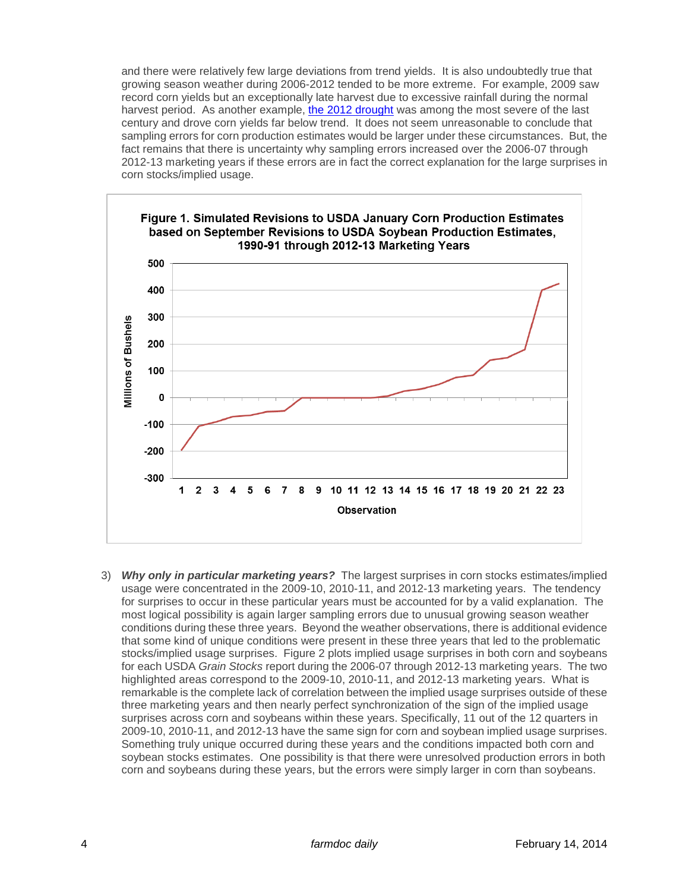and there were relatively few large deviations from trend yields. It is also undoubtedly true that growing season weather during 2006-2012 tended to be more extreme. For example, 2009 saw record corn yields but an exceptionally late harvest due to excessive rainfall during the normal harvest period. As another example, [the 2012 drought](http://farmdocdaily.illinois.edu/2013/04/2012-really-big-one-corn-yields.html) was among the most severe of the last century and drove corn yields far below trend. It does not seem unreasonable to conclude that sampling errors for corn production estimates would be larger under these circumstances. But, the fact remains that there is uncertainty why sampling errors increased over the 2006-07 through 2012-13 marketing years if these errors are in fact the correct explanation for the large surprises in corn stocks/implied usage.



3) *Why only in particular marketing years?* The largest surprises in corn stocks estimates/implied usage were concentrated in the 2009-10, 2010-11, and 2012-13 marketing years. The tendency for surprises to occur in these particular years must be accounted for by a valid explanation. The most logical possibility is again larger sampling errors due to unusual growing season weather conditions during these three years. Beyond the weather observations, there is additional evidence that some kind of unique conditions were present in these three years that led to the problematic stocks/implied usage surprises. Figure 2 plots implied usage surprises in both corn and soybeans for each USDA *Grain Stocks* report during the 2006-07 through 2012-13 marketing years. The two highlighted areas correspond to the 2009-10, 2010-11, and 2012-13 marketing years. What is remarkable is the complete lack of correlation between the implied usage surprises outside of these three marketing years and then nearly perfect synchronization of the sign of the implied usage surprises across corn and soybeans within these years. Specifically, 11 out of the 12 quarters in 2009-10, 2010-11, and 2012-13 have the same sign for corn and soybean implied usage surprises. Something truly unique occurred during these years and the conditions impacted both corn and soybean stocks estimates. One possibility is that there were unresolved production errors in both corn and soybeans during these years, but the errors were simply larger in corn than soybeans.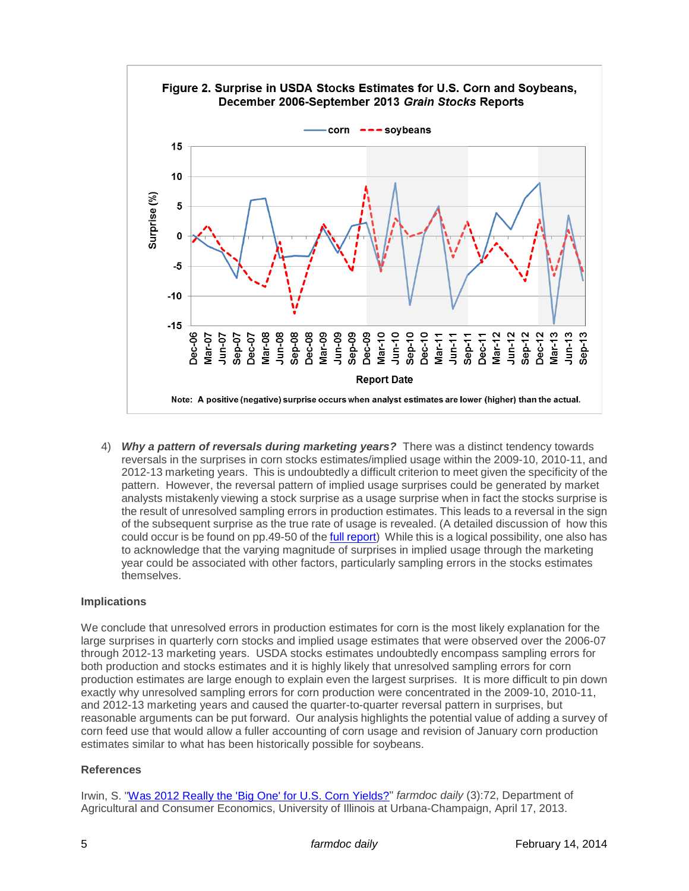

4) *Why a pattern of reversals during marketing years?* There was a distinct tendency towards reversals in the surprises in corn stocks estimates/implied usage within the 2009-10, 2010-11, and 2012-13 marketing years. This is undoubtedly a difficult criterion to meet given the specificity of the pattern. However, the reversal pattern of implied usage surprises could be generated by market analysts mistakenly viewing a stock surprise as a usage surprise when in fact the stocks surprise is the result of unresolved sampling errors in production estimates. This leads to a reversal in the sign of the subsequent surprise as the true rate of usage is revealed. (A detailed discussion of how this could occur is be found on pp.49-50 of th[e full report\)](http://farmdoc.illinois.edu/marketing/morr/morr_14-01/MORR_14-01.pdf) While this is a logical possibility, one also has to acknowledge that the varying magnitude of surprises in implied usage through the marketing year could be associated with other factors, particularly sampling errors in the stocks estimates themselves.

## **Implications**

We conclude that unresolved errors in production estimates for corn is the most likely explanation for the large surprises in quarterly corn stocks and implied usage estimates that were observed over the 2006-07 through 2012-13 marketing years. USDA stocks estimates undoubtedly encompass sampling errors for both production and stocks estimates and it is highly likely that unresolved sampling errors for corn production estimates are large enough to explain even the largest surprises. It is more difficult to pin down exactly why unresolved sampling errors for corn production were concentrated in the 2009-10, 2010-11, and 2012-13 marketing years and caused the quarter-to-quarter reversal pattern in surprises, but reasonable arguments can be put forward. Our analysis highlights the potential value of adding a survey of corn feed use that would allow a fuller accounting of corn usage and revision of January corn production estimates similar to what has been historically possible for soybeans.

## **References**

Irwin, S. ["Was 2012 Really the 'Big One' for U.S. Corn Yields?"](http://farmdocdaily.illinois.edu/2013/04/2012-really-big-one-corn-yields.html) *farmdoc daily* (3):72, Department of Agricultural and Consumer Economics, University of Illinois at Urbana-Champaign, April 17, 2013.